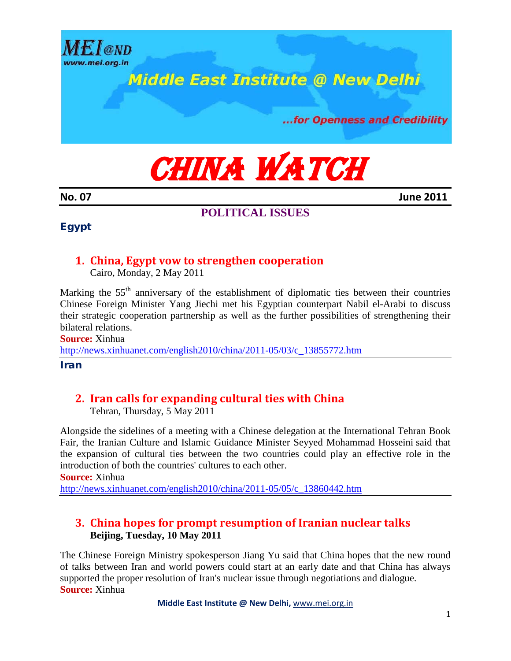

...for Openness and Credibility

CHINA WATCH

**No. 07 June 2011**

 $\sqrt{a}$ <sub>MD</sub>

vww.mei.org.in

**POLITICAL ISSUES**

### Egypt

## **1. China, Egypt vow to strengthen cooperation**

Cairo, Monday, 2 May 2011

Marking the  $55<sup>th</sup>$  anniversary of the establishment of diplomatic ties between their countries Chinese Foreign Minister Yang Jiechi met his Egyptian counterpart Nabil el-Arabi to discuss their strategic cooperation partnership as well as the further possibilities of strengthening their bilateral relations.

**Source:** Xinhua

[http://news.xinhuanet.com/english2010/china/2011-05/03/c\\_13855772.htm](http://news.xinhuanet.com/english2010/china/2011-05/03/c_13855772.htm)

Iran

### **2. Iran calls for expanding cultural ties with China**

Tehran, Thursday, 5 May 2011

Alongside the sidelines of a meeting with a Chinese delegation at the International Tehran Book Fair, the Iranian Culture and Islamic Guidance Minister Seyyed Mohammad Hosseini said that the expansion of cultural ties between the two countries could play an effective role in the introduction of both the countries' cultures to each other.

**Source:** Xinhua

[http://news.xinhuanet.com/english2010/china/2011-05/05/c\\_13860442.htm](http://news.xinhuanet.com/english2010/china/2011-05/05/c_13860442.htm)

### **3. China hopes for prompt resumption of Iranian nuclear talks Beijing, Tuesday, 10 May 2011**

The Chinese Foreign Ministry spokesperson Jiang Yu said that China hopes that the new round of talks between Iran and world powers could start at an early date and that China has always supported the proper resolution of Iran's nuclear issue through negotiations and dialogue. **Source:** Xinhua

**Middle East Institute @ New Delhi,** [www.mei.org.in](http://www.mei.org.in/)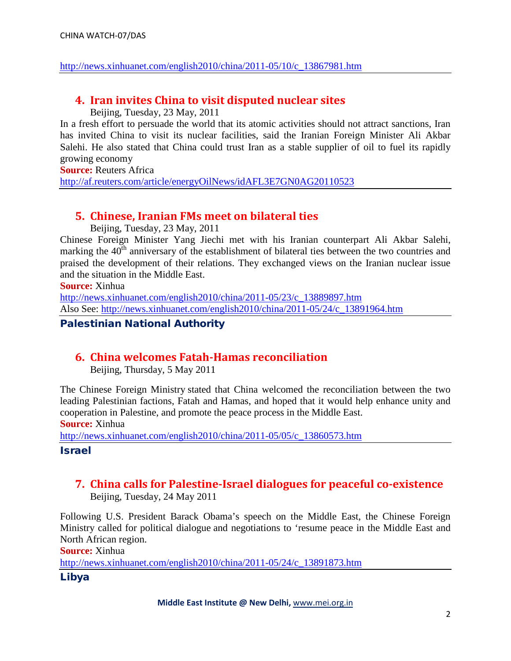### [http://news.xinhuanet.com/english2010/china/2011-05/10/c\\_13867981.htm](http://news.xinhuanet.com/english2010/china/2011-05/10/c_13867981.htm)

## **4. Iran invites China to visit disputed nuclear sites**

Beijing, Tuesday, 23 May, 2011

In a fresh effort to persuade the world that its atomic activities should not attract sanctions, Iran has invited China to visit its nuclear facilities, said the Iranian Foreign Minister Ali Akbar Salehi. He also stated that China could trust Iran as a stable supplier of oil to fuel its rapidly growing economy

**Source:** Reuters Africa

<http://af.reuters.com/article/energyOilNews/idAFL3E7GN0AG20110523>

## **5. Chinese, Iranian FMs meet on bilateral ties**

Beijing, Tuesday, 23 May, 2011

Chinese Foreign Minister Yang Jiechi met with his Iranian counterpart Ali Akbar Salehi, marking the  $40<sup>th</sup>$  anniversary of the establishment of bilateral ties between the two countries and praised the development of their relations. They exchanged views on the Iranian nuclear issue and the situation in the Middle East.

**Source:** Xinhua

[http://news.xinhuanet.com/english2010/china/2011-05/23/c\\_13889897.htm](http://news.xinhuanet.com/english2010/china/2011-05/23/c_13889897.htm) Also See: [http://news.xinhuanet.com/english2010/china/2011-05/24/c\\_13891964.htm](http://news.xinhuanet.com/english2010/china/2011-05/24/c_13891964.htm)

### Palestinian National Authority

## **6. China welcomes Fatah-Hamas reconciliation**

Beijing, Thursday, 5 May 2011

The Chinese Foreign Ministry stated that China welcomed the reconciliation between the two leading Palestinian factions, Fatah and Hamas, and hoped that it would help enhance unity and cooperation in Palestine, and promote the peace process in the Middle East.

**Source:** Xinhua

[http://news.xinhuanet.com/english2010/china/2011-05/05/c\\_13860573.htm](http://news.xinhuanet.com/english2010/china/2011-05/05/c_13860573.htm)

Israel

# **7. China calls for Palestine-Israel dialogues for peaceful co-existence**

Beijing, Tuesday, 24 May 2011

Following U.S. President Barack Obama's speech on the Middle East, the Chinese Foreign Ministry called for political dialogue and negotiations to 'resume peace in the Middle East and North African region.

**Source:** Xinhua

[http://news.xinhuanet.com/english2010/china/2011-05/24/c\\_13891873.htm](http://news.xinhuanet.com/english2010/china/2011-05/24/c_13891873.htm)

Libya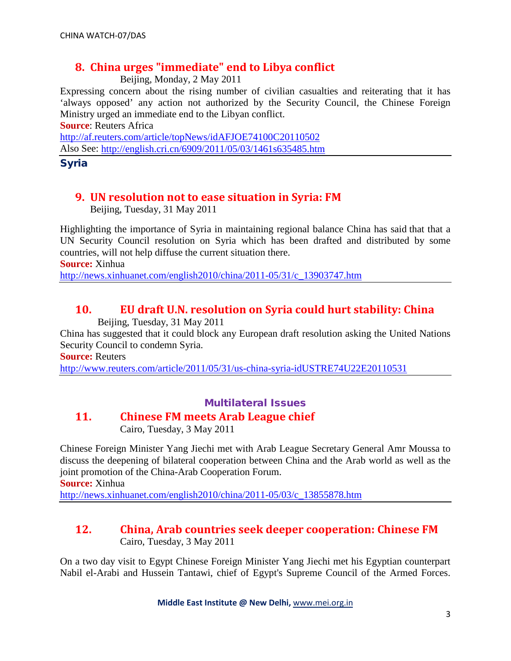## **8. China urges "immediate" end to Libya conflict**

Beijing, Monday, 2 May 2011

Expressing concern about the rising number of civilian casualties and reiterating that it has 'always opposed' any action not authorized by the Security Council, the Chinese Foreign Ministry urged an immediate end to the Libyan conflict.

**Source**: Reuters Africa

<http://af.reuters.com/article/topNews/idAFJOE74100C20110502> Also See:<http://english.cri.cn/6909/2011/05/03/1461s635485.htm>

Syria

## **9. UN resolution not to ease situation in Syria: FM**

Beijing, Tuesday, 31 May 2011

Highlighting the importance of Syria in maintaining regional balance China has said that that a UN Security Council resolution on Syria which has been drafted and distributed by some countries, will not help diffuse the current situation there.

**Source:** Xinhua

[http://news.xinhuanet.com/english2010/china/2011-05/31/c\\_13903747.htm](http://news.xinhuanet.com/english2010/china/2011-05/31/c_13903747.htm)

# **10. EU draft U.N. resolution on Syria could hurt stability: China**

Beijing, Tuesday, 31 May 2011

China has suggested that it could block any European draft resolution asking the United Nations Security Council to condemn Syria.

**Source:** Reuters

<http://www.reuters.com/article/2011/05/31/us-china-syria-idUSTRE74U22E20110531>

### Multilateral Issues

## **11. Chinese FM meets Arab League chief**

Cairo, Tuesday, 3 May 2011

Chinese Foreign Minister Yang Jiechi met with Arab League Secretary General Amr Moussa to discuss the deepening of bilateral cooperation between China and the Arab world as well as the joint promotion of the China-Arab Cooperation Forum.

**Source:** Xinhua

[http://news.xinhuanet.com/english2010/china/2011-05/03/c\\_13855878.htm](http://news.xinhuanet.com/english2010/china/2011-05/03/c_13855878.htm)

### **12. China, Arab countries seek deeper cooperation: Chinese FM** Cairo, Tuesday, 3 May 2011

On a two day visit to Egypt Chinese Foreign Minister Yang Jiechi met his Egyptian counterpart Nabil el-Arabi and Hussein Tantawi, chief of Egypt's Supreme Council of the Armed Forces.

**Middle East Institute @ New Delhi,** [www.mei.org.in](http://www.mei.org.in/)